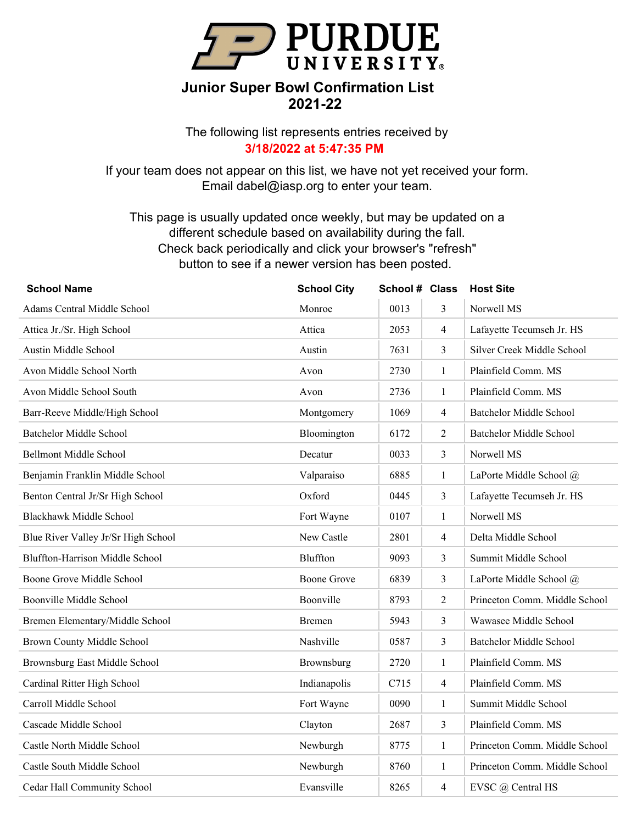

The following list represents entries received by **3/18/2022 at 5:47:35 PM**

If your team does not appear on this list, we have not yet received your form. Email dabel@iasp.org to enter your team.

| <b>School Name</b>                     | <b>School City</b> | School # Class |                | <b>Host Site</b>               |
|----------------------------------------|--------------------|----------------|----------------|--------------------------------|
| Adams Central Middle School            | Monroe             | 0013           | 3              | Norwell MS                     |
| Attica Jr./Sr. High School             | Attica             | 2053           | $\overline{4}$ | Lafayette Tecumseh Jr. HS      |
| Austin Middle School                   | Austin             | 7631           | 3              | Silver Creek Middle School     |
| Avon Middle School North               | Avon               | 2730           | $\mathbf{1}$   | Plainfield Comm. MS            |
| Avon Middle School South               | Avon               | 2736           | 1              | Plainfield Comm. MS            |
| Barr-Reeve Middle/High School          | Montgomery         | 1069           | 4              | <b>Batchelor Middle School</b> |
| <b>Batchelor Middle School</b>         | Bloomington        | 6172           | $\overline{2}$ | <b>Batchelor Middle School</b> |
| <b>Bellmont Middle School</b>          | Decatur            | 0033           | 3              | Norwell MS                     |
| Benjamin Franklin Middle School        | Valparaiso         | 6885           | 1              | LaPorte Middle School @        |
| Benton Central Jr/Sr High School       | Oxford             | 0445           | 3              | Lafayette Tecumseh Jr. HS      |
| <b>Blackhawk Middle School</b>         | Fort Wayne         | 0107           | 1              | Norwell MS                     |
| Blue River Valley Jr/Sr High School    | New Castle         | 2801           | 4              | Delta Middle School            |
| <b>Bluffton-Harrison Middle School</b> | Bluffton           | 9093           | 3              | Summit Middle School           |
| Boone Grove Middle School              | <b>Boone Grove</b> | 6839           | 3              | LaPorte Middle School @        |
| Boonville Middle School                | Boonville          | 8793           | $\overline{2}$ | Princeton Comm. Middle School  |
| Bremen Elementary/Middle School        | Bremen             | 5943           | 3              | Wawasee Middle School          |
| Brown County Middle School             | Nashville          | 0587           | 3              | <b>Batchelor Middle School</b> |
| Brownsburg East Middle School          | Brownsburg         | 2720           | $\mathbf{1}$   | Plainfield Comm. MS            |
| Cardinal Ritter High School            | Indianapolis       | C715           | $\overline{4}$ | Plainfield Comm. MS            |
| Carroll Middle School                  | Fort Wayne         | 0090           | $\mathbf{1}$   | Summit Middle School           |
| Cascade Middle School                  | Clayton            | 2687           | 3              | Plainfield Comm. MS            |
| Castle North Middle School             | Newburgh           | 8775           | $\mathbf{1}$   | Princeton Comm. Middle School  |
| Castle South Middle School             | Newburgh           | 8760           | $\mathbf{1}$   | Princeton Comm. Middle School  |
| Cedar Hall Community School            | Evansville         | 8265           | 4              | EVSC @ Central HS              |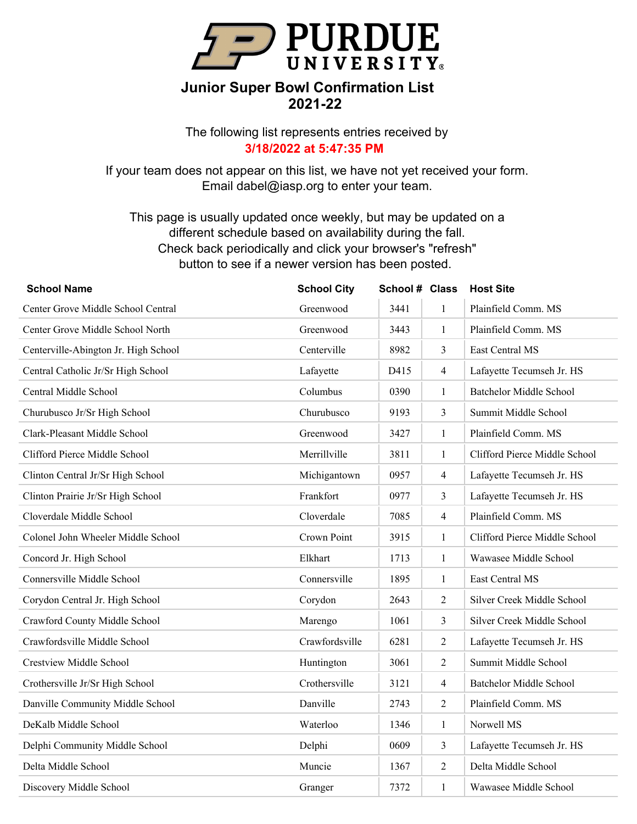

The following list represents entries received by **3/18/2022 at 5:47:35 PM**

If your team does not appear on this list, we have not yet received your form. Email dabel@iasp.org to enter your team.

| <b>School Name</b>                   | <b>School City</b> | School # Class |                | <b>Host Site</b>               |
|--------------------------------------|--------------------|----------------|----------------|--------------------------------|
| Center Grove Middle School Central   | Greenwood          | 3441           | $\mathbf{1}$   | Plainfield Comm. MS            |
| Center Grove Middle School North     | Greenwood          | 3443           | $\mathbf{1}$   | Plainfield Comm. MS            |
| Centerville-Abington Jr. High School | Centerville        | 8982           | 3              | East Central MS                |
| Central Catholic Jr/Sr High School   | Lafayette          | D415           | $\overline{4}$ | Lafayette Tecumseh Jr. HS      |
| Central Middle School                | Columbus           | 0390           | $\mathbf{1}$   | <b>Batchelor Middle School</b> |
| Churubusco Jr/Sr High School         | Churubusco         | 9193           | 3              | Summit Middle School           |
| Clark-Pleasant Middle School         | Greenwood          | 3427           | $\mathbf{1}$   | Plainfield Comm. MS            |
| Clifford Pierce Middle School        | Merrillville       | 3811           | $\mathbf{1}$   | Clifford Pierce Middle School  |
| Clinton Central Jr/Sr High School    | Michigantown       | 0957           | $\overline{4}$ | Lafayette Tecumseh Jr. HS      |
| Clinton Prairie Jr/Sr High School    | Frankfort          | 0977           | 3              | Lafayette Tecumseh Jr. HS      |
| Cloverdale Middle School             | Cloverdale         | 7085           | $\overline{4}$ | Plainfield Comm. MS            |
| Colonel John Wheeler Middle School   | Crown Point        | 3915           | $\mathbf{1}$   | Clifford Pierce Middle School  |
| Concord Jr. High School              | Elkhart            | 1713           | $\mathbf{1}$   | Wawasee Middle School          |
| Connersville Middle School           | Connersville       | 1895           | $\mathbf{1}$   | East Central MS                |
| Corydon Central Jr. High School      | Corydon            | 2643           | $\overline{2}$ | Silver Creek Middle School     |
| Crawford County Middle School        | Marengo            | 1061           | 3              | Silver Creek Middle School     |
| Crawfordsville Middle School         | Crawfordsville     | 6281           | $\overline{2}$ | Lafayette Tecumseh Jr. HS      |
| <b>Crestview Middle School</b>       | Huntington         | 3061           | 2              | Summit Middle School           |
| Crothersville Jr/Sr High School      | Crothersville      | 3121           | $\overline{4}$ | <b>Batchelor Middle School</b> |
| Danville Community Middle School     | Danville           | 2743           | $\overline{2}$ | Plainfield Comm. MS            |
| DeKalb Middle School                 | Waterloo           | 1346           | $\mathbf{1}$   | Norwell MS                     |
| Delphi Community Middle School       | Delphi             | 0609           | 3              | Lafayette Tecumseh Jr. HS      |
| Delta Middle School                  | Muncie             | 1367           | $\overline{2}$ | Delta Middle School            |
| Discovery Middle School              | Granger            | 7372           | $\mathbf{1}$   | Wawasee Middle School          |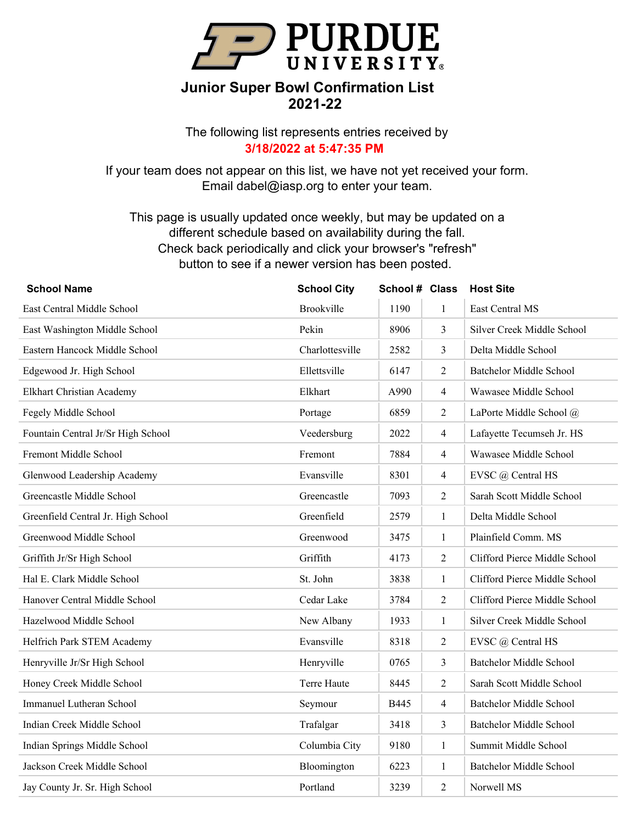

The following list represents entries received by **3/18/2022 at 5:47:35 PM**

If your team does not appear on this list, we have not yet received your form. Email dabel@iasp.org to enter your team.

| <b>School Name</b>                 | <b>School City</b> | School # Class |                | <b>Host Site</b>               |
|------------------------------------|--------------------|----------------|----------------|--------------------------------|
| East Central Middle School         | Brookville         | 1190           | $\mathbf{1}$   | East Central MS                |
| East Washington Middle School      | Pekin              | 8906           | $\mathfrak{Z}$ | Silver Creek Middle School     |
| Eastern Hancock Middle School      | Charlottesville    | 2582           | $\mathfrak{Z}$ | Delta Middle School            |
| Edgewood Jr. High School           | Ellettsville       | 6147           | $\overline{2}$ | <b>Batchelor Middle School</b> |
| Elkhart Christian Academy          | Elkhart            | A990           | $\overline{4}$ | Wawasee Middle School          |
| Fegely Middle School               | Portage            | 6859           | $\overline{2}$ | LaPorte Middle School @        |
| Fountain Central Jr/Sr High School | Veedersburg        | 2022           | $\overline{4}$ | Lafayette Tecumseh Jr. HS      |
| Fremont Middle School              | Fremont            | 7884           | $\overline{4}$ | Wawasee Middle School          |
| Glenwood Leadership Academy        | Evansville         | 8301           | $\overline{4}$ | EVSC @ Central HS              |
| Greencastle Middle School          | Greencastle        | 7093           | 2              | Sarah Scott Middle School      |
| Greenfield Central Jr. High School | Greenfield         | 2579           | $\mathbf{1}$   | Delta Middle School            |
| Greenwood Middle School            | Greenwood          | 3475           | $\mathbf{1}$   | Plainfield Comm. MS            |
| Griffith Jr/Sr High School         | Griffith           | 4173           | 2              | Clifford Pierce Middle School  |
| Hal E. Clark Middle School         | St. John           | 3838           | $\mathbf{1}$   | Clifford Pierce Middle School  |
| Hanover Central Middle School      | Cedar Lake         | 3784           | $\overline{2}$ | Clifford Pierce Middle School  |
| Hazelwood Middle School            | New Albany         | 1933           | $\mathbf{1}$   | Silver Creek Middle School     |
| Helfrich Park STEM Academy         | Evansville         | 8318           | $\overline{2}$ | EVSC @ Central HS              |
| Henryville Jr/Sr High School       | Henryville         | 0765           | $\mathfrak{Z}$ | <b>Batchelor Middle School</b> |
| Honey Creek Middle School          | Terre Haute        | 8445           | 2              | Sarah Scott Middle School      |
| Immanuel Lutheran School           | Seymour            | B445           | $\overline{4}$ | <b>Batchelor Middle School</b> |
| Indian Creek Middle School         | Trafalgar          | 3418           | $\mathfrak{Z}$ | <b>Batchelor Middle School</b> |
| Indian Springs Middle School       | Columbia City      | 9180           | $\mathbf{1}$   | Summit Middle School           |
| Jackson Creek Middle School        | Bloomington        | 6223           | $\mathbf{1}$   | Batchelor Middle School        |
| Jay County Jr. Sr. High School     | Portland           | 3239           | $\overline{2}$ | Norwell MS                     |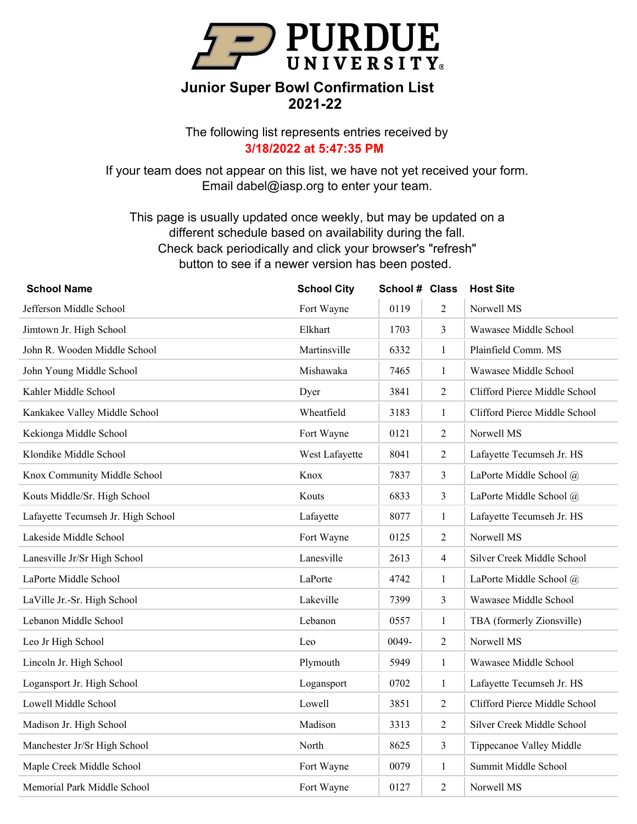

The following list represents entries received by **3/18/2022 at 5:47:35 PM**

If your team does not appear on this list, we have not yet received your form. Email dabel@iasp.org to enter your team.

| <b>School Name</b>                 | <b>School City</b> | School # Class |                | <b>Host Site</b>              |
|------------------------------------|--------------------|----------------|----------------|-------------------------------|
| Jefferson Middle School            | Fort Wayne         | 0119           | $\overline{2}$ | Norwell MS                    |
| Jimtown Jr. High School            | Elkhart            | 1703           | $\mathfrak{Z}$ | Wawasee Middle School         |
| John R. Wooden Middle School       | Martinsville       | 6332           | $\mathbf{1}$   | Plainfield Comm. MS           |
| John Young Middle School           | Mishawaka          | 7465           | $\mathbf{1}$   | Wawasee Middle School         |
| Kahler Middle School               | Dyer               | 3841           | $\overline{2}$ | Clifford Pierce Middle School |
| Kankakee Valley Middle School      | Wheatfield         | 3183           | $\mathbf{1}$   | Clifford Pierce Middle School |
| Kekionga Middle School             | Fort Wayne         | 0121           | $\overline{2}$ | Norwell MS                    |
| Klondike Middle School             | West Lafayette     | 8041           | $\overline{2}$ | Lafayette Tecumseh Jr. HS     |
| Knox Community Middle School       | Knox               | 7837           | $\mathfrak{Z}$ | LaPorte Middle School @       |
| Kouts Middle/Sr. High School       | Kouts              | 6833           | 3              | LaPorte Middle School @       |
| Lafayette Tecumseh Jr. High School | Lafayette          | 8077           | $\mathbf{1}$   | Lafayette Tecumseh Jr. HS     |
| Lakeside Middle School             | Fort Wayne         | 0125           | $\overline{2}$ | Norwell MS                    |
| Lanesville Jr/Sr High School       | Lanesville         | 2613           | $\overline{4}$ | Silver Creek Middle School    |
| LaPorte Middle School              | LaPorte            | 4742           | $\mathbf{1}$   | LaPorte Middle School @       |
| LaVille Jr.-Sr. High School        | Lakeville          | 7399           | $\mathfrak{Z}$ | Wawasee Middle School         |
| Lebanon Middle School              | Lebanon            | 0557           | $\mathbf{1}$   | TBA (formerly Zionsville)     |
| Leo Jr High School                 | Leo                | 0049-          | $\overline{2}$ | Norwell MS                    |
| Lincoln Jr. High School            | Plymouth           | 5949           | $\mathbf{1}$   | Wawasee Middle School         |
| Logansport Jr. High School         | Logansport         | 0702           | $\mathbf{1}$   | Lafayette Tecumseh Jr. HS     |
| Lowell Middle School               | Lowell             | 3851           | 2              | Clifford Pierce Middle School |
| Madison Jr. High School            | Madison            | 3313           | $\overline{2}$ | Silver Creek Middle School    |
| Manchester Jr/Sr High School       | North              | 8625           | $\mathfrak{Z}$ | Tippecanoe Valley Middle      |
| Maple Creek Middle School          | Fort Wayne         | 0079           | $\mathbf{1}$   | Summit Middle School          |
| Memorial Park Middle School        | Fort Wayne         | 0127           | $\overline{2}$ | Norwell MS                    |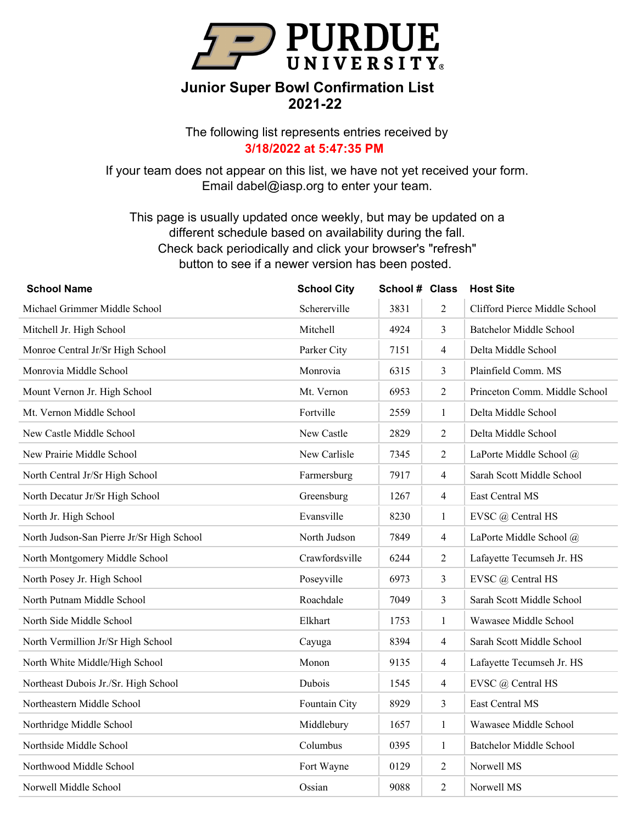

The following list represents entries received by **3/18/2022 at 5:47:35 PM**

If your team does not appear on this list, we have not yet received your form. Email dabel@iasp.org to enter your team.

| <b>School Name</b>                        | <b>School City</b> | School # Class |                | <b>Host Site</b>               |
|-------------------------------------------|--------------------|----------------|----------------|--------------------------------|
| Michael Grimmer Middle School             | Schererville       | 3831           | $\overline{2}$ | Clifford Pierce Middle School  |
| Mitchell Jr. High School                  | Mitchell           | 4924           | $\mathfrak{Z}$ | Batchelor Middle School        |
| Monroe Central Jr/Sr High School          | Parker City        | 7151           | $\overline{4}$ | Delta Middle School            |
| Monrovia Middle School                    | Monrovia           | 6315           | 3              | Plainfield Comm. MS            |
| Mount Vernon Jr. High School              | Mt. Vernon         | 6953           | $\overline{2}$ | Princeton Comm. Middle School  |
| Mt. Vernon Middle School                  | Fortville          | 2559           | $\mathbf{1}$   | Delta Middle School            |
| New Castle Middle School                  | New Castle         | 2829           | $\overline{2}$ | Delta Middle School            |
| New Prairie Middle School                 | New Carlisle       | 7345           | $\overline{2}$ | LaPorte Middle School @        |
| North Central Jr/Sr High School           | Farmersburg        | 7917           | $\overline{4}$ | Sarah Scott Middle School      |
| North Decatur Jr/Sr High School           | Greensburg         | 1267           | $\overline{4}$ | East Central MS                |
| North Jr. High School                     | Evansville         | 8230           | 1              | EVSC @ Central HS              |
| North Judson-San Pierre Jr/Sr High School | North Judson       | 7849           | $\overline{4}$ | LaPorte Middle School @        |
| North Montgomery Middle School            | Crawfordsville     | 6244           | $\overline{2}$ | Lafayette Tecumseh Jr. HS      |
| North Posey Jr. High School               | Poseyville         | 6973           | $\mathfrak{Z}$ | EVSC @ Central HS              |
| North Putnam Middle School                | Roachdale          | 7049           | $\mathfrak{Z}$ | Sarah Scott Middle School      |
| North Side Middle School                  | Elkhart            | 1753           | $\mathbf{1}$   | Wawasee Middle School          |
| North Vermillion Jr/Sr High School        | Cayuga             | 8394           | $\overline{4}$ | Sarah Scott Middle School      |
| North White Middle/High School            | Monon              | 9135           | $\overline{4}$ | Lafayette Tecumseh Jr. HS      |
| Northeast Dubois Jr./Sr. High School      | Dubois             | 1545           | $\overline{4}$ | EVSC @ Central HS              |
| Northeastern Middle School                | Fountain City      | 8929           | $\mathfrak{Z}$ | East Central MS                |
| Northridge Middle School                  | Middlebury         | 1657           | $\mathbf{1}$   | Wawasee Middle School          |
| Northside Middle School                   | Columbus           | 0395           | $\mathbf{1}$   | <b>Batchelor Middle School</b> |
| Northwood Middle School                   | Fort Wayne         | 0129           | 2              | Norwell MS                     |
| Norwell Middle School                     | Ossian             | 9088           | $\overline{2}$ | Norwell MS                     |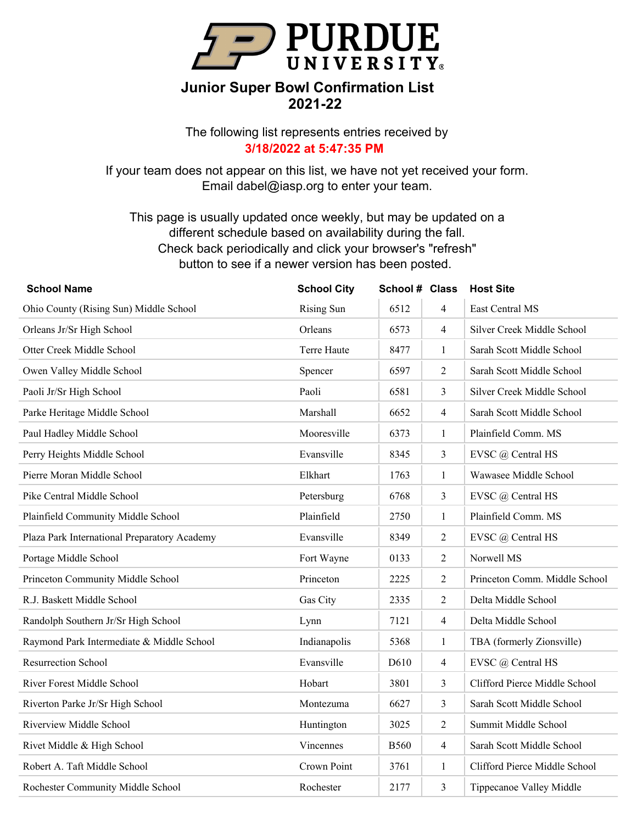

The following list represents entries received by **3/18/2022 at 5:47:35 PM**

If your team does not appear on this list, we have not yet received your form. Email dabel@iasp.org to enter your team.

| <b>School Name</b>                           | <b>School City</b> | School # Class |                | <b>Host Site</b>              |
|----------------------------------------------|--------------------|----------------|----------------|-------------------------------|
| Ohio County (Rising Sun) Middle School       | <b>Rising Sun</b>  | 6512           | $\overline{4}$ | East Central MS               |
| Orleans Jr/Sr High School                    | Orleans            | 6573           | $\overline{4}$ | Silver Creek Middle School    |
| Otter Creek Middle School                    | Terre Haute        | 8477           | $\mathbf{1}$   | Sarah Scott Middle School     |
| Owen Valley Middle School                    | Spencer            | 6597           | $\overline{2}$ | Sarah Scott Middle School     |
| Paoli Jr/Sr High School                      | Paoli              | 6581           | 3              | Silver Creek Middle School    |
| Parke Heritage Middle School                 | Marshall           | 6652           | $\overline{4}$ | Sarah Scott Middle School     |
| Paul Hadley Middle School                    | Mooresville        | 6373           | $\mathbf{1}$   | Plainfield Comm. MS           |
| Perry Heights Middle School                  | Evansville         | 8345           | 3              | EVSC @ Central HS             |
| Pierre Moran Middle School                   | Elkhart            | 1763           | $\mathbf{1}$   | Wawasee Middle School         |
| Pike Central Middle School                   | Petersburg         | 6768           | 3              | EVSC @ Central HS             |
| Plainfield Community Middle School           | Plainfield         | 2750           | $\mathbf{1}$   | Plainfield Comm. MS           |
| Plaza Park International Preparatory Academy | Evansville         | 8349           | $\overline{2}$ | EVSC @ Central HS             |
| Portage Middle School                        | Fort Wayne         | 0133           | $\overline{2}$ | Norwell MS                    |
| Princeton Community Middle School            | Princeton          | 2225           | $\overline{2}$ | Princeton Comm. Middle School |
| R.J. Baskett Middle School                   | Gas City           | 2335           | $\overline{2}$ | Delta Middle School           |
| Randolph Southern Jr/Sr High School          | Lynn               | 7121           | $\overline{4}$ | Delta Middle School           |
| Raymond Park Intermediate & Middle School    | Indianapolis       | 5368           | 1              | TBA (formerly Zionsville)     |
| <b>Resurrection School</b>                   | Evansville         | D610           | $\overline{4}$ | EVSC @ Central HS             |
| River Forest Middle School                   | Hobart             | 3801           | $\mathfrak{Z}$ | Clifford Pierce Middle School |
| Riverton Parke Jr/Sr High School             | Montezuma          | 6627           | 3              | Sarah Scott Middle School     |
| Riverview Middle School                      | Huntington         | 3025           | $\overline{2}$ | Summit Middle School          |
| Rivet Middle & High School                   | Vincennes          | <b>B560</b>    | $\overline{4}$ | Sarah Scott Middle School     |
| Robert A. Taft Middle School                 | Crown Point        | 3761           | $\mathbf{1}$   | Clifford Pierce Middle School |
| Rochester Community Middle School            | Rochester          | 2177           | 3              | Tippecanoe Valley Middle      |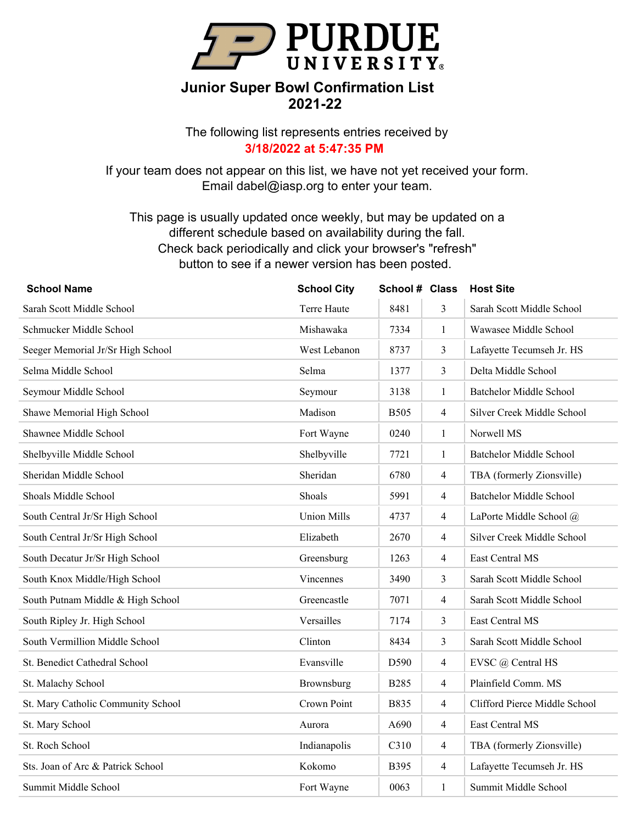

The following list represents entries received by **3/18/2022 at 5:47:35 PM**

If your team does not appear on this list, we have not yet received your form. Email dabel@iasp.org to enter your team.

| <b>School Name</b>                 | <b>School City</b> | School # Class |                | <b>Host Site</b>               |
|------------------------------------|--------------------|----------------|----------------|--------------------------------|
| Sarah Scott Middle School          | Terre Haute        | 8481           | 3              | Sarah Scott Middle School      |
| Schmucker Middle School            | Mishawaka          | 7334           | $\mathbf{1}$   | Wawasee Middle School          |
| Seeger Memorial Jr/Sr High School  | West Lebanon       | 8737           | 3              | Lafayette Tecumseh Jr. HS      |
| Selma Middle School                | Selma              | 1377           | 3              | Delta Middle School            |
| Seymour Middle School              | Seymour            | 3138           | $\mathbf{1}$   | <b>Batchelor Middle School</b> |
| Shawe Memorial High School         | Madison            | <b>B505</b>    | $\overline{4}$ | Silver Creek Middle School     |
| Shawnee Middle School              | Fort Wayne         | 0240           | $\mathbf{1}$   | Norwell MS                     |
| Shelbyville Middle School          | Shelbyville        | 7721           | $\mathbf{1}$   | <b>Batchelor Middle School</b> |
| Sheridan Middle School             | Sheridan           | 6780           | $\overline{4}$ | TBA (formerly Zionsville)      |
| Shoals Middle School               | Shoals             | 5991           | $\overline{4}$ | <b>Batchelor Middle School</b> |
| South Central Jr/Sr High School    | <b>Union Mills</b> | 4737           | $\overline{4}$ | LaPorte Middle School @        |
| South Central Jr/Sr High School    | Elizabeth          | 2670           | $\overline{4}$ | Silver Creek Middle School     |
| South Decatur Jr/Sr High School    | Greensburg         | 1263           | $\overline{4}$ | East Central MS                |
| South Knox Middle/High School      | Vincennes          | 3490           | 3              | Sarah Scott Middle School      |
| South Putnam Middle & High School  | Greencastle        | 7071           | $\overline{4}$ | Sarah Scott Middle School      |
| South Ripley Jr. High School       | Versailles         | 7174           | 3              | East Central MS                |
| South Vermillion Middle School     | Clinton            | 8434           | $\mathfrak{Z}$ | Sarah Scott Middle School      |
| St. Benedict Cathedral School      | Evansville         | D590           | $\overline{4}$ | EVSC @ Central HS              |
| St. Malachy School                 | Brownsburg         | <b>B285</b>    | $\overline{4}$ | Plainfield Comm. MS            |
| St. Mary Catholic Community School | Crown Point        | B835           | $\overline{4}$ | Clifford Pierce Middle School  |
| St. Mary School                    | Aurora             | A690           | $\overline{4}$ | East Central MS                |
| St. Roch School                    | Indianapolis       | C310           | $\overline{4}$ | TBA (formerly Zionsville)      |
| Sts. Joan of Arc & Patrick School  | Kokomo             | <b>B</b> 395   | $\overline{4}$ | Lafayette Tecumseh Jr. HS      |
| Summit Middle School               | Fort Wayne         | 0063           | $\mathbf{1}$   | Summit Middle School           |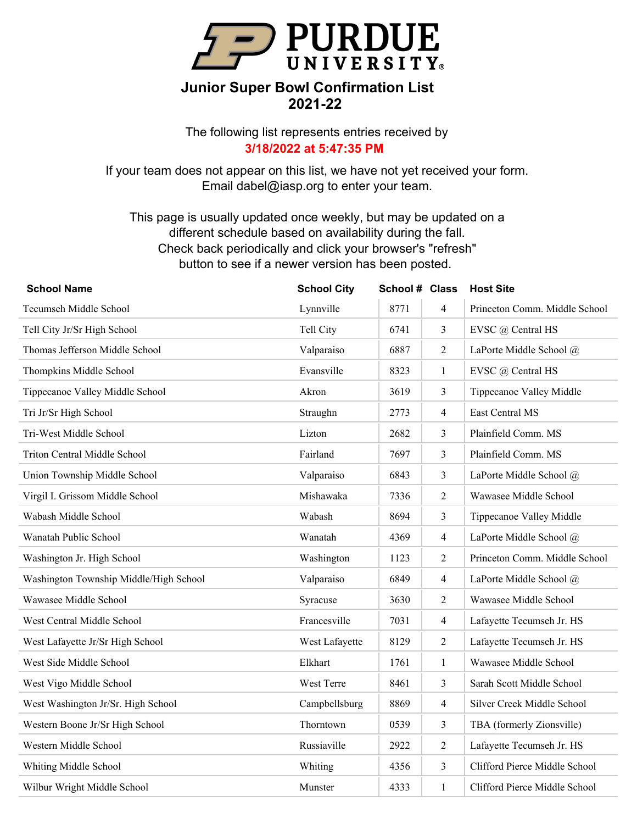

The following list represents entries received by **3/18/2022 at 5:47:35 PM**

If your team does not appear on this list, we have not yet received your form. Email dabel@iasp.org to enter your team.

| <b>School Name</b>                     | <b>School City</b> | School # Class |                | <b>Host Site</b>              |
|----------------------------------------|--------------------|----------------|----------------|-------------------------------|
| Tecumseh Middle School                 | Lynnville          | 8771           | 4              | Princeton Comm. Middle School |
| Tell City Jr/Sr High School            | Tell City          | 6741           | 3              | EVSC @ Central HS             |
| Thomas Jefferson Middle School         | Valparaiso         | 6887           | $\overline{2}$ | LaPorte Middle School @       |
| Thompkins Middle School                | Evansville         | 8323           | $\mathbf{1}$   | EVSC @ Central HS             |
| Tippecanoe Valley Middle School        | Akron              | 3619           | 3              | Tippecanoe Valley Middle      |
| Tri Jr/Sr High School                  | Straughn           | 2773           | $\overline{4}$ | East Central MS               |
| Tri-West Middle School                 | Lizton             | 2682           | 3              | Plainfield Comm. MS           |
| Triton Central Middle School           | Fairland           | 7697           | 3              | Plainfield Comm. MS           |
| Union Township Middle School           | Valparaiso         | 6843           | 3              | LaPorte Middle School @       |
| Virgil I. Grissom Middle School        | Mishawaka          | 7336           | $\overline{2}$ | Wawasee Middle School         |
| Wabash Middle School                   | Wabash             | 8694           | 3              | Tippecanoe Valley Middle      |
| Wanatah Public School                  | Wanatah            | 4369           | $\overline{4}$ | LaPorte Middle School @       |
| Washington Jr. High School             | Washington         | 1123           | $\overline{2}$ | Princeton Comm. Middle School |
| Washington Township Middle/High School | Valparaiso         | 6849           | $\overline{4}$ | LaPorte Middle School @       |
| Wawasee Middle School                  | Syracuse           | 3630           | $\overline{2}$ | Wawasee Middle School         |
| West Central Middle School             | Francesville       | 7031           | $\overline{4}$ | Lafayette Tecumseh Jr. HS     |
| West Lafayette Jr/Sr High School       | West Lafayette     | 8129           | $\overline{2}$ | Lafayette Tecumseh Jr. HS     |
| West Side Middle School                | Elkhart            | 1761           | $\mathbf{1}$   | Wawasee Middle School         |
| West Vigo Middle School                | West Terre         | 8461           | $\mathfrak{Z}$ | Sarah Scott Middle School     |
| West Washington Jr/Sr. High School     | Campbellsburg      | 8869           | $\overline{4}$ | Silver Creek Middle School    |
| Western Boone Jr/Sr High School        | Thorntown          | 0539           | $\mathfrak{Z}$ | TBA (formerly Zionsville)     |
| Western Middle School                  | Russiaville        | 2922           | $\overline{2}$ | Lafayette Tecumseh Jr. HS     |
| Whiting Middle School                  | Whiting            | 4356           | $\mathfrak{Z}$ | Clifford Pierce Middle School |
| Wilbur Wright Middle School            | Munster            | 4333           | $\mathbf{1}$   | Clifford Pierce Middle School |